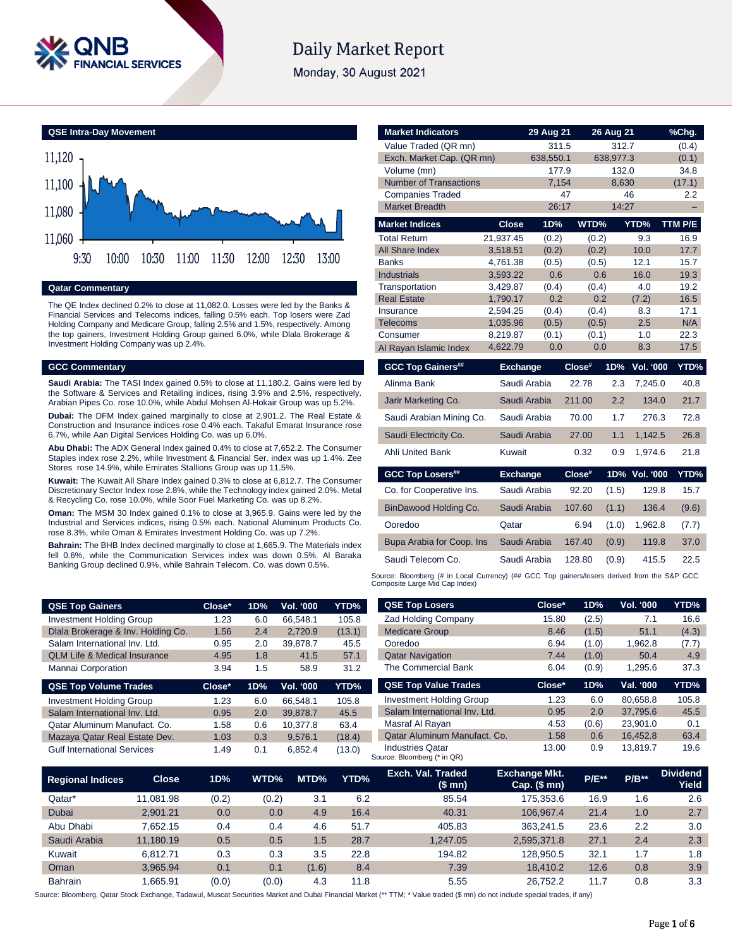

# **Daily Market Report**

Monday, 30 August 2021



### **Qatar Commentary**

The QE Index declined 0.2% to close at 11,082.0. Losses were led by the Banks & Financial Services and Telecoms indices, falling 0.5% each. Top losers were Zad Holding Company and Medicare Group, falling 2.5% and 1.5%, respectively. Among the top gainers, Investment Holding Group gained 6.0%, while Dlala Brokerage & Investment Holding Company was up 2.4%.

### **GCC Commentary**

**Saudi Arabia:** The TASI Index gained 0.5% to close at 11,180.2. Gains were led by the Software & Services and Retailing indices, rising 3.9% and 2.5%, respectively. Arabian Pipes Co. rose 10.0%, while Abdul Mohsen Al-Hokair Group was up 5.2%.

**Dubai:** The DFM Index gained marginally to close at 2,901.2. The Real Estate & Construction and Insurance indices rose 0.4% each. Takaful Emarat Insurance rose 6.7%, while Aan Digital Services Holding Co. was up 6.0%.

**Abu Dhabi:** The ADX General Index gained 0.4% to close at 7,652.2. The Consumer Staples index rose 2.2%, while Investment & Financial Ser. index was up 1.4%. Zee Stores rose 14.9%, while Emirates Stallions Group was up 11.5%.

**Kuwait:** The Kuwait All Share Index gained 0.3% to close at 6,812.7. The Consumer Discretionary Sector Index rose 2.8%, while the Technology index gained 2.0%. Metal & Recycling Co. rose 10.0%, while Soor Fuel Marketing Co. was up 8.2%.

**Oman:** The MSM 30 Index gained 0.1% to close at 3,965.9. Gains were led by the Industrial and Services indices, rising 0.5% each. National Aluminum Products Co. rose 8.3%, while Oman & Emirates Investment Holding Co. was up 7.2%.

**Bahrain:** The BHB Index declined marginally to close at 1,665.9. The Materials index fell 0.6%, while the Communication Services index was down 0.5%. Al Baraka Banking Group declined 0.9%, while Bahrain Telecom. Co. was down 0.5%.

**QSE Top Gainers Close\* 1D% Vol. '000 YTD%** Investment Holding Group 1.23 6.0 66,548.1 105.8 Dlala Brokerage & Inv. Holding Co. 1.56 2.4 2,720.9 (13.1) Salam International Inv. Ltd. 0.95 2.0 39,878.7 45.5 QLM Life & Medical Insurance 4.95 1.8 41.5 57.1 Mannai Corporation 3.94 1.5 58.9 31.2 **QSE Top Volume Trades Close\* 1D% Vol. '000 YTD%** Investment Holding Group 1.23 6.0 66,548.1 105.8 Salam International Inv. Ltd. 0.95 2.0 39,878.7 45.5 Qatar Aluminum Manufact. Co. <br>1.58 0.6 10,377.8 63.4 Mazaya Qatar Real Estate Dev. 1.03 0.3 9,576.1 (18.4) Gulf International Services 1.49 0.1 6,852.4 (13.0)

| <b>Market Indicators</b>      |                      | 29 Aug 21    |           | 26 Aug 21 |               | %Chg.       |
|-------------------------------|----------------------|--------------|-----------|-----------|---------------|-------------|
| Value Traded (QR mn)          |                      | 311.5        |           | 312.7     |               | (0.4)       |
| Exch. Market Cap. (QR mn)     | 638,550.1            |              | 638,977.3 |           | (0.1)         |             |
| Volume (mn)                   | 177.9                |              | 132.0     |           | 34.8          |             |
| <b>Number of Transactions</b> | 7,154                |              | 8,630     |           | (17.1)        |             |
| <b>Companies Traded</b>       | 47                   |              | 46        |           | 2.2           |             |
| <b>Market Breadth</b>         |                      | 26:17        |           | 14:27     |               |             |
| <b>Market Indices</b>         | <b>Close</b>         | 1D%          | WTD%      |           | YTD%          | TTM P/E     |
| <b>Total Return</b>           | 21,937.45            | (0.2)        | (0.2)     |           | 9.3           | 16.9        |
| <b>All Share Index</b>        | 3,518.51             | (0.2)        | (0.2)     |           | 10.0          | 17.7        |
| <b>Banks</b>                  | 4,761.38             | (0.5)        | (0.5)     |           | 12.1          | 15.7        |
| <b>Industrials</b>            | 3,593.22             | 0.6          |           | 0.6       | 16.0          | 19.3        |
| Transportation                | 3,429.87             | (0.4)        | (0.4)     |           | 4.0           | 19.2        |
| <b>Real Estate</b>            | 1,790.17             | 0.2          |           | 0.2       | (7.2)         | 16.5        |
| Insurance                     | 2,594.25             | (0.4)        | (0.4)     |           | 8.3           | 17.1        |
| <b>Telecoms</b><br>Consumer   | 1,035.96             | (0.5)        | (0.5)     |           | 2.5<br>1.0    | N/A<br>22.3 |
| Al Rayan Islamic Index        | 8,219.87<br>4,622.79 | (0.1)<br>0.0 | (0.1)     | 0.0       | 8.3           | 17.5        |
|                               |                      |              |           |           |               |             |
| <b>GCC Top Gainers##</b>      | <b>Exchange</b>      |              | Close#    | 1D%       | Vol. '000     | YTD%        |
| Alinma Bank                   |                      | Saudi Arabia | 22.78     | 2.3       | 7,245.0       | 40.8        |
| Jarir Marketing Co.           |                      | Saudi Arabia | 211.00    | 2.2       | 134.0         | 21.7        |
| Saudi Arabian Mining Co.      |                      | Saudi Arabia | 70.00     | 1.7       | 276.3         | 72.8        |
| Saudi Electricity Co.         |                      | Saudi Arabia | 27.00     | 1.1       | 1,142.5       | 26.8        |
| <b>Ahli United Bank</b>       | Kuwait               |              | 0.32      | 0.9       | 1,974.6       | 21.8        |
| <b>GCC Top Losers##</b>       | <b>Exchange</b>      |              | Close#    |           | 1D% Vol. '000 | YTD%        |
| Co. for Cooperative Ins.      |                      | Saudi Arabia | 92.20     | (1.5)     | 129.8         | 15.7        |
| BinDawood Holding Co.         |                      | Saudi Arabia | 107.60    | (1.1)     | 136.4         | (9.6)       |
| Ooredoo                       | Qatar                |              | 6.94      | (1.0)     | 1,962.8       | (7.7)       |
| Bupa Arabia for Coop. Ins     |                      | Saudi Arabia | 167.40    | (0.9)     | 119.8         | 37.0        |
| Saudi Telecom Co.             |                      | Saudi Arabia | 128.80    | (0.9)     | 415.5         | 22.5        |
|                               |                      |              |           |           |               |             |

Source: Bloomberg (# in Local Currency) (## GCC Top gainers/losers derived from the S&P GCC<br>Composite Large Mid Cap Index)

| <b>QSE Top Losers</b>           | Close* | 1D%   | <b>Vol. '000</b> | YTD%  |
|---------------------------------|--------|-------|------------------|-------|
| <b>Zad Holding Company</b>      | 15.80  | (2.5) | 7.1              | 16.6  |
| <b>Medicare Group</b>           | 8.46   | (1.5) | 51.1             | (4.3) |
| Ooredoo                         | 6.94   | (1.0) | 1,962.8          | (7.7) |
| <b>Qatar Navigation</b>         | 7.44   | (1.0) | 50.4             | 4.9   |
| The Commercial Bank             | 6.04   | (0.9) | 1.295.6          | 37.3  |
|                                 |        |       |                  |       |
| <b>QSE Top Value Trades</b>     | Close* | 1D%   | Val. '000        | YTD%  |
| <b>Investment Holding Group</b> | 1.23   | 6.0   | 80.658.8         | 105.8 |
| Salam International Inv. Ltd.   | 0.95   | 2.0   | 37.795.6         | 45.5  |
| Masraf Al Rayan                 | 4.53   | (0.6) | 23.901.0         | 0.1   |
| Qatar Aluminum Manufact, Co.    | 1.58   | 0.6   | 16,452.8         | 63.4  |

| <b>Regional Indices</b> | <b>Close</b> | 1D%   | WTD%  | MTD%  | YTD% | Exch. Val. Traded<br>(\$mn) | <b>Exchange Mkt.</b><br>$Cap.$ (\$ mn) | <b>P/E**</b> | $P/B**$ | <b>Dividend</b><br>Yield |
|-------------------------|--------------|-------|-------|-------|------|-----------------------------|----------------------------------------|--------------|---------|--------------------------|
| Qatar*                  | 11.081.98    | (0.2) | (0.2) | 3.1   | 6.2  | 85.54                       | 175,353.6                              | 16.9         | 1.6     | 2.6                      |
| <b>Dubai</b>            | 2.901.21     | 0.0   | 0.0   | 4.9   | 16.4 | 40.31                       | 106.967.4                              | 21.4         | 1.0     | 2.7                      |
| Abu Dhabi               | 7.652.15     | 0.4   | 0.4   | 4.6   | 51.7 | 405.83                      | 363.241.5                              | 23.6         | 2.2     | 3.0                      |
| Saudi Arabia            | 11.180.19    | 0.5   | 0.5   | 1.5   | 28.7 | 1.247.05                    | 2,595,371.8                            | 27.1         | 2.4     | 2.3                      |
| Kuwait                  | 6.812.71     | 0.3   | 0.3   | 3.5   | 22.8 | 194.82                      | 128.950.5                              | 32.1         | 1.7     | 1.8                      |
| Oman                    | 3.965.94     | 0.1   | 0.1   | (1.6) | 8.4  | 7.39                        | 18.410.2                               | 12.6         | 0.8     | 3.9                      |
| <b>Bahrain</b>          | .665.91      | (0.0) | (0.0) | 4.3   | 11.8 | 5.55                        | 26.752.2                               | 11.7         | 0.8     | 3.3                      |

Source: Bloomberg, Qatar Stock Exchange, Tadawul, Muscat Securities Market and Dubai Financial Market (\*\* TTM; \* Value traded (\$ mn) do not include special trades, if any)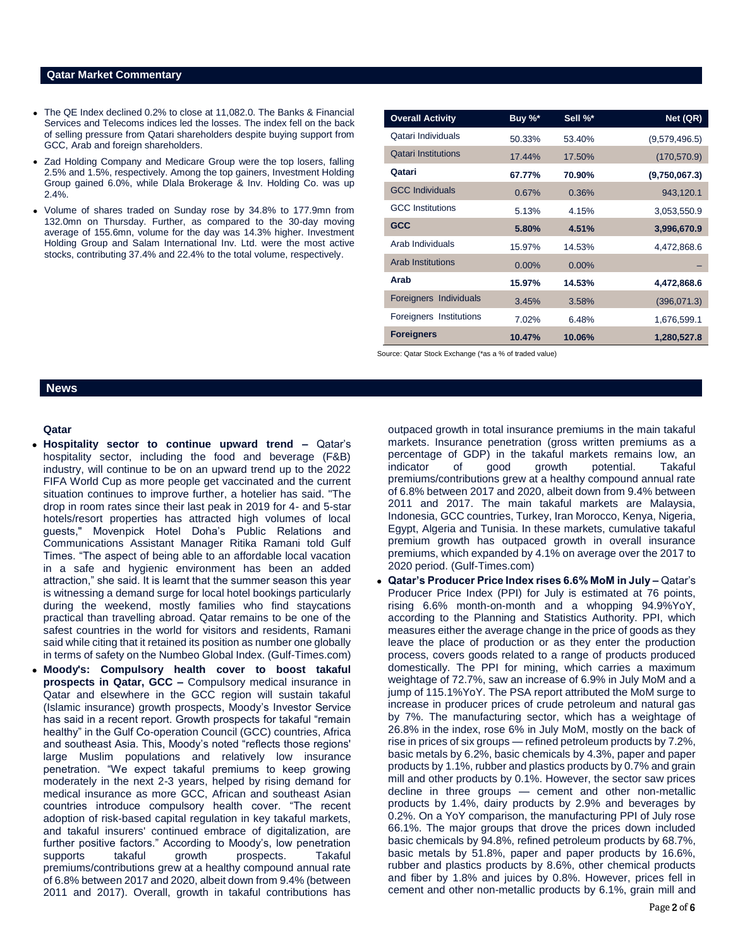# **Qatar Market Commentary**

- The QE Index declined 0.2% to close at 11,082.0. The Banks & Financial Services and Telecoms indices led the losses. The index fell on the back of selling pressure from Qatari shareholders despite buying support from GCC, Arab and foreign shareholders.
- Zad Holding Company and Medicare Group were the top losers, falling 2.5% and 1.5%, respectively. Among the top gainers, Investment Holding Group gained 6.0%, while Dlala Brokerage & Inv. Holding Co. was up 2.4%.
- Volume of shares traded on Sunday rose by 34.8% to 177.9mn from 132.0mn on Thursday. Further, as compared to the 30-day moving average of 155.6mn, volume for the day was 14.3% higher. Investment Holding Group and Salam International Inv. Ltd. were the most active stocks, contributing 37.4% and 22.4% to the total volume, respectively.

| <b>Overall Activity</b>    | Buy %*   | Sell %*  | Net (QR)      |
|----------------------------|----------|----------|---------------|
| Qatari Individuals         | 50.33%   | 53.40%   | (9,579,496.5) |
| <b>Qatari Institutions</b> | 17.44%   | 17.50%   | (170, 570.9)  |
| Qatari                     | 67.77%   | 70.90%   | (9,750,067.3) |
| <b>GCC Individuals</b>     | 0.67%    | 0.36%    | 943,120.1     |
| <b>GCC</b> Institutions    | 5.13%    | 4.15%    | 3,053,550.9   |
| <b>GCC</b>                 | 5.80%    | 4.51%    | 3,996,670.9   |
| Arab Individuals           | 15.97%   | 14.53%   | 4,472,868.6   |
| <b>Arab Institutions</b>   | $0.00\%$ | $0.00\%$ |               |
| Arab                       | 15.97%   | 14.53%   | 4,472,868.6   |
| Foreigners Individuals     | 3.45%    | 3.58%    | (396,071.3)   |
| Foreigners Institutions    | 7.02%    | 6.48%    | 1,676,599.1   |
| <b>Foreigners</b>          | 10.47%   | 10.06%   | 1,280,527.8   |

Source: Qatar Stock Exchange (\*as a % of traded value)

# **News**

### **Qatar**

- **Hospitality sector to continue upward trend –** Qatar's hospitality sector, including the food and beverage (F&B) industry, will continue to be on an upward trend up to the 2022 FIFA World Cup as more people get vaccinated and the current situation continues to improve further, a hotelier has said. "The drop in room rates since their last peak in 2019 for 4- and 5-star hotels/resort properties has attracted high volumes of local guests," Movenpick Hotel Doha's Public Relations and Communications Assistant Manager Ritika Ramani told Gulf Times. "The aspect of being able to an affordable local vacation in a safe and hygienic environment has been an added attraction," she said. It is learnt that the summer season this year is witnessing a demand surge for local hotel bookings particularly during the weekend, mostly families who find staycations practical than travelling abroad. Qatar remains to be one of the safest countries in the world for visitors and residents, Ramani said while citing that it retained its position as number one globally in terms of safety on the Numbeo Global Index. (Gulf-Times.com)
- **Moody's: Compulsory health cover to boost takaful prospects in Qatar, GCC –** Compulsory medical insurance in Qatar and elsewhere in the GCC region will sustain takaful (Islamic insurance) growth prospects, Moody's Investor Service has said in a recent report. Growth prospects for takaful "remain healthy" in the Gulf Co-operation Council (GCC) countries, Africa and southeast Asia. This, Moody's noted "reflects those regions' large Muslim populations and relatively low insurance penetration. "We expect takaful premiums to keep growing moderately in the next 2-3 years, helped by rising demand for medical insurance as more GCC, African and southeast Asian countries introduce compulsory health cover. "The recent adoption of risk-based capital regulation in key takaful markets, and takaful insurers' continued embrace of digitalization, are further positive factors." According to Moody's, low penetration supports takaful growth prospects. Takaful premiums/contributions grew at a healthy compound annual rate of 6.8% between 2017 and 2020, albeit down from 9.4% (between 2011 and 2017). Overall, growth in takaful contributions has

outpaced growth in total insurance premiums in the main takaful markets. Insurance penetration (gross written premiums as a percentage of GDP) in the takaful markets remains low, an indicator of good growth potential. Takaful premiums/contributions grew at a healthy compound annual rate of 6.8% between 2017 and 2020, albeit down from 9.4% between 2011 and 2017. The main takaful markets are Malaysia, Indonesia, GCC countries, Turkey, Iran Morocco, Kenya, Nigeria, Egypt, Algeria and Tunisia. In these markets, cumulative takaful premium growth has outpaced growth in overall insurance premiums, which expanded by 4.1% on average over the 2017 to 2020 period. (Gulf-Times.com)

 **Qatar's Producer Price Index rises 6.6% MoM in July –** Qatar's Producer Price Index (PPI) for July is estimated at 76 points, rising 6.6% month-on-month and a whopping 94.9%YoY, according to the Planning and Statistics Authority. PPI, which measures either the average change in the price of goods as they leave the place of production or as they enter the production process, covers goods related to a range of products produced domestically. The PPI for mining, which carries a maximum weightage of 72.7%, saw an increase of 6.9% in July MoM and a jump of 115.1%YoY. The PSA report attributed the MoM surge to increase in producer prices of crude petroleum and natural gas by 7%. The manufacturing sector, which has a weightage of 26.8% in the index, rose 6% in July MoM, mostly on the back of rise in prices of six groups — refined petroleum products by 7.2%, basic metals by 6.2%, basic chemicals by 4.3%, paper and paper products by 1.1%, rubber and plastics products by 0.7% and grain mill and other products by 0.1%. However, the sector saw prices decline in three groups — cement and other non-metallic products by 1.4%, dairy products by 2.9% and beverages by 0.2%. On a YoY comparison, the manufacturing PPI of July rose 66.1%. The major groups that drove the prices down included basic chemicals by 94.8%, refined petroleum products by 68.7%, basic metals by 51.8%, paper and paper products by 16.6%, rubber and plastics products by 8.6%, other chemical products and fiber by 1.8% and juices by 0.8%. However, prices fell in cement and other non-metallic products by 6.1%, grain mill and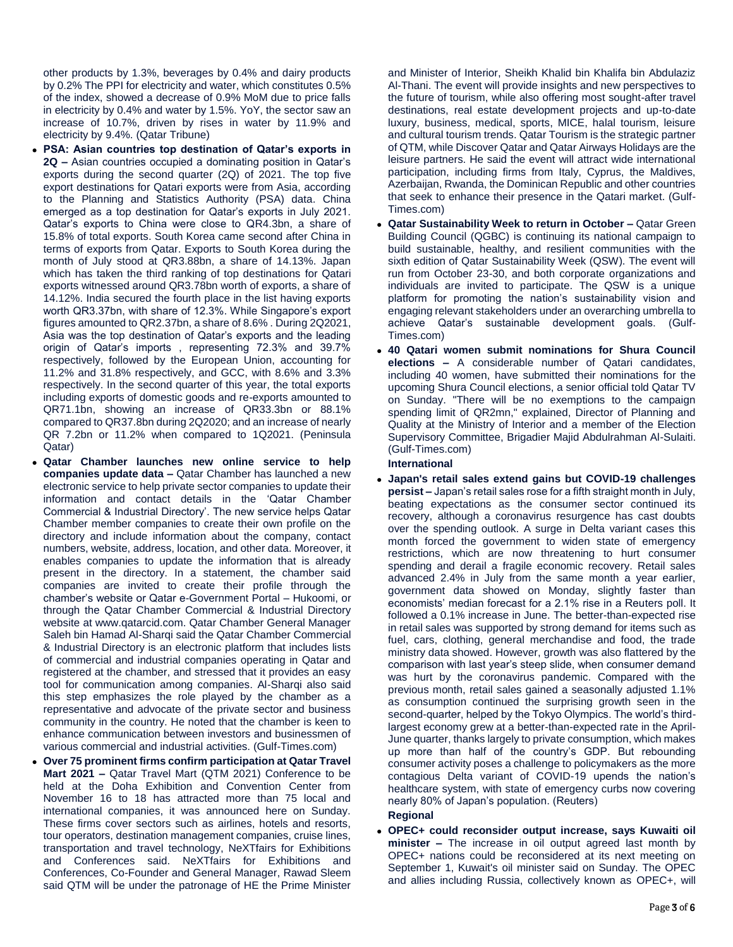other products by 1.3%, beverages by 0.4% and dairy products by 0.2% The PPI for electricity and water, which constitutes 0.5% of the index, showed a decrease of 0.9% MoM due to price falls in electricity by 0.4% and water by 1.5%. YoY, the sector saw an increase of 10.7%, driven by rises in water by 11.9% and electricity by 9.4%. (Qatar Tribune)

- **PSA: Asian countries top destination of Qatar's exports in 2Q –** Asian countries occupied a dominating position in Qatar's exports during the second quarter (2Q) of 2021. The top five export destinations for Qatari exports were from Asia, according to the Planning and Statistics Authority (PSA) data. China emerged as a top destination for Qatar's exports in July 2021. Qatar's exports to China were close to QR4.3bn, a share of 15.8% of total exports. South Korea came second after China in terms of exports from Qatar. Exports to South Korea during the month of July stood at QR3.88bn, a share of 14.13%. Japan which has taken the third ranking of top destinations for Qatari exports witnessed around QR3.78bn worth of exports, a share of 14.12%. India secured the fourth place in the list having exports worth QR3.37bn, with share of 12.3%. While Singapore's export figures amounted to QR2.37bn, a share of 8.6% . During 2Q2021, Asia was the top destination of Qatar's exports and the leading origin of Qatar's imports , representing 72.3% and 39.7% respectively, followed by the European Union, accounting for 11.2% and 31.8% respectively, and GCC, with 8.6% and 3.3% respectively. In the second quarter of this year, the total exports including exports of domestic goods and re-exports amounted to QR71.1bn, showing an increase of QR33.3bn or 88.1% compared to QR37.8bn during 2Q2020; and an increase of nearly QR 7.2bn or 11.2% when compared to 1Q2021. (Peninsula Qatar)
- **Qatar Chamber launches new online service to help companies update data –** Qatar Chamber has launched a new electronic service to help private sector companies to update their information and contact details in the 'Qatar Chamber Commercial & Industrial Directory'. The new service helps Qatar Chamber member companies to create their own profile on the directory and include information about the company, contact numbers, website, address, location, and other data. Moreover, it enables companies to update the information that is already present in the directory. In a statement, the chamber said companies are invited to create their profile through the chamber's website or Qatar e-Government Portal – Hukoomi, or through the Qatar Chamber Commercial & Industrial Directory website at www.qatarcid.com. Qatar Chamber General Manager Saleh bin Hamad Al-Sharqi said the Qatar Chamber Commercial & Industrial Directory is an electronic platform that includes lists of commercial and industrial companies operating in Qatar and registered at the chamber, and stressed that it provides an easy tool for communication among companies. Al-Sharqi also said this step emphasizes the role played by the chamber as a representative and advocate of the private sector and business community in the country. He noted that the chamber is keen to enhance communication between investors and businessmen of various commercial and industrial activities. (Gulf-Times.com)
- **Over 75 prominent firms confirm participation at Qatar Travel Mart 2021 –** Qatar Travel Mart (QTM 2021) Conference to be held at the Doha Exhibition and Convention Center from November 16 to 18 has attracted more than 75 local and international companies, it was announced here on Sunday. These firms cover sectors such as airlines, hotels and resorts, tour operators, destination management companies, cruise lines, transportation and travel technology, NeXTfairs for Exhibitions and Conferences said. NeXTfairs for Exhibitions and Conferences, Co-Founder and General Manager, Rawad Sleem said QTM will be under the patronage of HE the Prime Minister

and Minister of Interior, Sheikh Khalid bin Khalifa bin Abdulaziz Al-Thani. The event will provide insights and new perspectives to the future of tourism, while also offering most sought-after travel destinations, real estate development projects and up-to-date luxury, business, medical, sports, MICE, halal tourism, leisure and cultural tourism trends. Qatar Tourism is the strategic partner of QTM, while Discover Qatar and Qatar Airways Holidays are the leisure partners. He said the event will attract wide international participation, including firms from Italy, Cyprus, the Maldives, Azerbaijan, Rwanda, the Dominican Republic and other countries that seek to enhance their presence in the Qatari market. (Gulf-Times.com)

- **Qatar Sustainability Week to return in October –** Qatar Green Building Council (QGBC) is continuing its national campaign to build sustainable, healthy, and resilient communities with the sixth edition of Qatar Sustainability Week (QSW). The event will run from October 23-30, and both corporate organizations and individuals are invited to participate. The QSW is a unique platform for promoting the nation's sustainability vision and engaging relevant stakeholders under an overarching umbrella to achieve Qatar's sustainable development goals. (Gulf-Times.com)
- **40 Qatari women submit nominations for Shura Council elections –** A considerable number of Qatari candidates, including 40 women, have submitted their nominations for the upcoming Shura Council elections, a senior official told Qatar TV on Sunday. "There will be no exemptions to the campaign spending limit of QR2mn," explained, Director of Planning and Quality at the Ministry of Interior and a member of the Election Supervisory Committee, Brigadier Majid Abdulrahman Al-Sulaiti. (Gulf-Times.com)

# **International**

 **Japan's retail sales extend gains but COVID-19 challenges persist –** Japan's retail sales rose for a fifth straight month in July, beating expectations as the consumer sector continued its recovery, although a coronavirus resurgence has cast doubts over the spending outlook. A surge in Delta variant cases this month forced the government to widen state of emergency restrictions, which are now threatening to hurt consumer spending and derail a fragile economic recovery. Retail sales advanced 2.4% in July from the same month a year earlier, government data showed on Monday, slightly faster than economists' median forecast for a 2.1% rise in a Reuters poll. It followed a 0.1% increase in June. The better-than-expected rise in retail sales was supported by strong demand for items such as fuel, cars, clothing, general merchandise and food, the trade ministry data showed. However, growth was also flattered by the comparison with last year's steep slide, when consumer demand was hurt by the coronavirus pandemic. Compared with the previous month, retail sales gained a seasonally adjusted 1.1% as consumption continued the surprising growth seen in the second-quarter, helped by the Tokyo Olympics. The world's thirdlargest economy grew at a better-than-expected rate in the April-June quarter, thanks largely to private consumption, which makes up more than half of the country's GDP. But rebounding consumer activity poses a challenge to policymakers as the more contagious Delta variant of COVID-19 upends the nation's healthcare system, with state of emergency curbs now covering nearly 80% of Japan's population. (Reuters)

## **Regional**

 **OPEC+ could reconsider output increase, says Kuwaiti oil minister –** The increase in oil output agreed last month by OPEC+ nations could be reconsidered at its next meeting on September 1, Kuwait's oil minister said on Sunday. The OPEC and allies including Russia, collectively known as OPEC+, will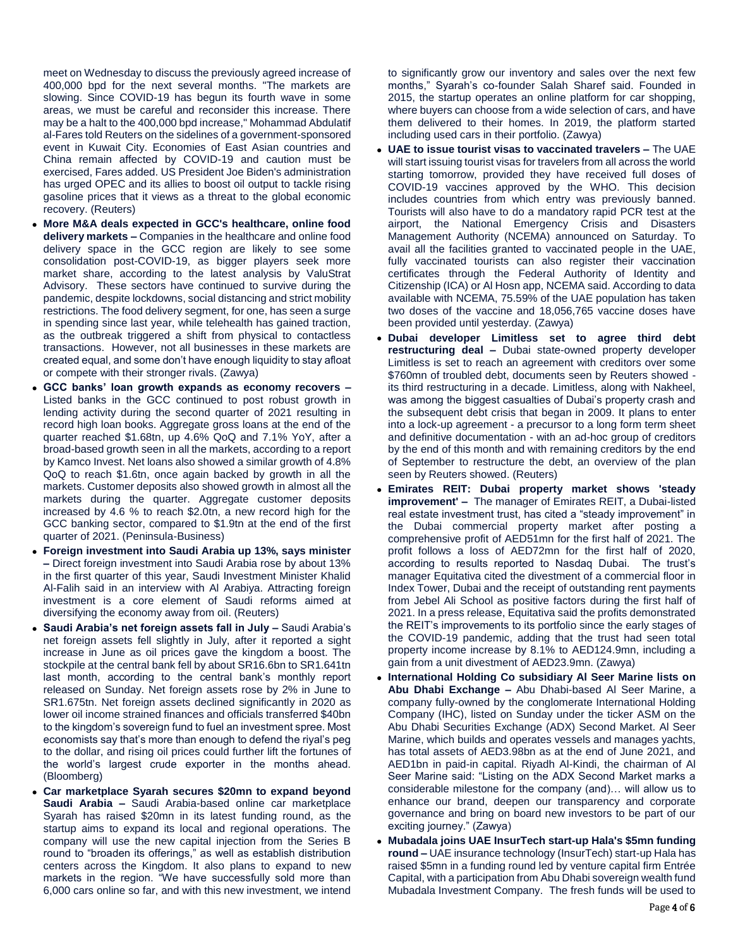meet on Wednesday to discuss the previously agreed increase of 400,000 bpd for the next several months. "The markets are slowing. Since COVID-19 has begun its fourth wave in some areas, we must be careful and reconsider this increase. There may be a halt to the 400,000 bpd increase," Mohammad Abdulatif al-Fares told Reuters on the sidelines of a government-sponsored event in Kuwait City. Economies of East Asian countries and China remain affected by COVID-19 and caution must be exercised, Fares added. US President Joe Biden's administration has urged OPEC and its allies to boost oil output to tackle rising gasoline prices that it views as a threat to the global economic recovery. (Reuters)

- **More M&A deals expected in GCC's healthcare, online food delivery markets –** Companies in the healthcare and online food delivery space in the GCC region are likely to see some consolidation post-COVID-19, as bigger players seek more market share, according to the latest analysis by ValuStrat Advisory. These sectors have continued to survive during the pandemic, despite lockdowns, social distancing and strict mobility restrictions. The food delivery segment, for one, has seen a surge in spending since last year, while telehealth has gained traction, as the outbreak triggered a shift from physical to contactless transactions. However, not all businesses in these markets are created equal, and some don't have enough liquidity to stay afloat or compete with their stronger rivals. (Zawya)
- **GCC banks' loan growth expands as economy recovers –** Listed banks in the GCC continued to post robust growth in lending activity during the second quarter of 2021 resulting in record high loan books. Aggregate gross loans at the end of the quarter reached \$1.68tn, up 4.6% QoQ and 7.1% YoY, after a broad-based growth seen in all the markets, according to a report by Kamco Invest. Net loans also showed a similar growth of 4.8% QoQ to reach \$1.6tn, once again backed by growth in all the markets. Customer deposits also showed growth in almost all the markets during the quarter. Aggregate customer deposits increased by 4.6 % to reach \$2.0tn, a new record high for the GCC banking sector, compared to \$1.9tn at the end of the first quarter of 2021. (Peninsula-Business)
- **Foreign investment into Saudi Arabia up 13%, says minister –** Direct foreign investment into Saudi Arabia rose by about 13% in the first quarter of this year, Saudi Investment Minister Khalid Al-Falih said in an interview with Al Arabiya. Attracting foreign investment is a core element of Saudi reforms aimed at diversifying the economy away from oil. (Reuters)
- **Saudi Arabia's net foreign assets fall in July –** Saudi Arabia's net foreign assets fell slightly in July, after it reported a sight increase in June as oil prices gave the kingdom a boost. The stockpile at the central bank fell by about SR16.6bn to SR1.641tn last month, according to the central bank's monthly report released on Sunday. Net foreign assets rose by 2% in June to SR1.675tn. Net foreign assets declined significantly in 2020 as lower oil income strained finances and officials transferred \$40bn to the kingdom's sovereign fund to fuel an investment spree. Most economists say that's more than enough to defend the riyal's peg to the dollar, and rising oil prices could further lift the fortunes of the world's largest crude exporter in the months ahead. (Bloomberg)
- **Car marketplace Syarah secures \$20mn to expand beyond Saudi Arabia –** Saudi Arabia-based online car marketplace Syarah has raised \$20mn in its latest funding round, as the startup aims to expand its local and regional operations. The company will use the new capital injection from the Series B round to "broaden its offerings," as well as establish distribution centers across the Kingdom. It also plans to expand to new markets in the region. "We have successfully sold more than 6,000 cars online so far, and with this new investment, we intend

to significantly grow our inventory and sales over the next few months," Syarah's co-founder Salah Sharef said. Founded in 2015, the startup operates an online platform for car shopping, where buyers can choose from a wide selection of cars, and have them delivered to their homes. In 2019, the platform started including used cars in their portfolio. (Zawya)

- **UAE to issue tourist visas to vaccinated travelers –** The UAE will start issuing tourist visas for travelers from all across the world starting tomorrow, provided they have received full doses of COVID-19 vaccines approved by the WHO. This decision includes countries from which entry was previously banned. Tourists will also have to do a mandatory rapid PCR test at the airport, the National Emergency Crisis and Disasters Management Authority (NCEMA) announced on Saturday. To avail all the facilities granted to vaccinated people in the UAE, fully vaccinated tourists can also register their vaccination certificates through the Federal Authority of Identity and Citizenship (ICA) or Al Hosn app, NCEMA said. According to data available with NCEMA, 75.59% of the UAE population has taken two doses of the vaccine and 18,056,765 vaccine doses have been provided until yesterday. (Zawya)
- **Dubai developer Limitless set to agree third debt restructuring deal –** Dubai state-owned property developer Limitless is set to reach an agreement with creditors over some \$760mn of troubled debt, documents seen by Reuters showed its third restructuring in a decade. Limitless, along with Nakheel, was among the biggest casualties of Dubai's property crash and the subsequent debt crisis that began in 2009. It plans to enter into a lock-up agreement - a precursor to a long form term sheet and definitive documentation - with an ad-hoc group of creditors by the end of this month and with remaining creditors by the end of September to restructure the debt, an overview of the plan seen by Reuters showed. (Reuters)
- **Emirates REIT: Dubai property market shows 'steady improvement' –** The manager of Emirates REIT, a Dubai-listed real estate investment trust, has cited a "steady improvement" in the Dubai commercial property market after posting a comprehensive profit of AED51mn for the first half of 2021. The profit follows a loss of AED72mn for the first half of 2020, according to results reported to Nasdaq Dubai. The trust's manager Equitativa cited the divestment of a commercial floor in Index Tower, Dubai and the receipt of outstanding rent payments from Jebel Ali School as positive factors during the first half of 2021. In a press release, Equitativa said the profits demonstrated the REIT's improvements to its portfolio since the early stages of the COVID-19 pandemic, adding that the trust had seen total property income increase by 8.1% to AED124.9mn, including a gain from a unit divestment of AED23.9mn. (Zawya)
- **International Holding Co subsidiary Al Seer Marine lists on Abu Dhabi Exchange –** Abu Dhabi-based Al Seer Marine, a company fully-owned by the conglomerate International Holding Company (IHC), listed on Sunday under the ticker ASM on the Abu Dhabi Securities Exchange (ADX) Second Market. Al Seer Marine, which builds and operates vessels and manages yachts, has total assets of AED3.98bn as at the end of June 2021, and AED1bn in paid-in capital. Riyadh Al-Kindi, the chairman of Al Seer Marine said: "Listing on the ADX Second Market marks a considerable milestone for the company (and)… will allow us to enhance our brand, deepen our transparency and corporate governance and bring on board new investors to be part of our exciting journey." (Zawya)
- **Mubadala joins UAE InsurTech start-up Hala's \$5mn funding round –** UAE insurance technology (InsurTech) start-up Hala has raised \$5mn in a funding round led by venture capital firm Entrée Capital, with a participation from Abu Dhabi sovereign wealth fund Mubadala Investment Company. The fresh funds will be used to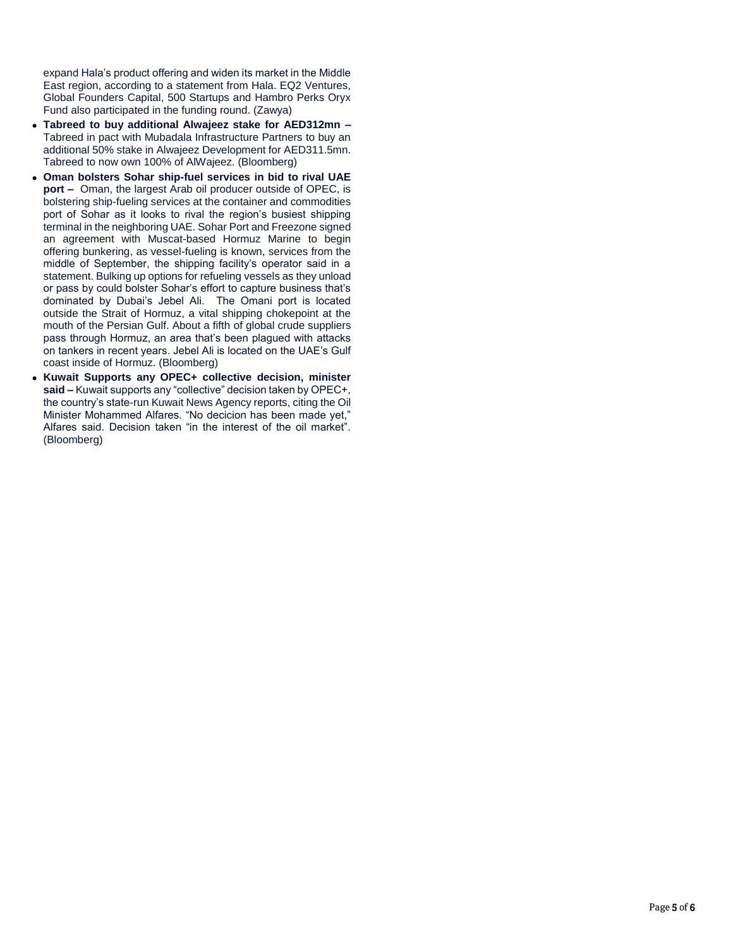expand Hala's product offering and widen its market in the Middle East region, according to a statement from Hala. EQ2 Ventures, Global Founders Capital, 500 Startups and Hambro Perks Oryx Fund also participated in the funding round. (Zawya)

- **Tabreed to buy additional Alwajeez stake for AED312mn –** Tabreed in pact with Mubadala Infrastructure Partners to buy an additional 50% stake in Alwajeez Development for AED311.5mn. Tabreed to now own 100% of AlWajeez. (Bloomberg)
- **Oman bolsters Sohar ship-fuel services in bid to rival UAE port –** Oman, the largest Arab oil producer outside of OPEC, is bolstering ship-fueling services at the container and commodities port of Sohar as it looks to rival the region's busiest shipping terminal in the neighboring UAE. Sohar Port and Freezone signed an agreement with Muscat-based Hormuz Marine to begin offering bunkering, as vessel-fueling is known, services from the middle of September, the shipping facility's operator said in a statement. Bulking up options for refueling vessels as they unload or pass by could bolster Sohar's effort to capture business that's dominated by Dubai's Jebel Ali. The Omani port is located outside the Strait of Hormuz, a vital shipping chokepoint at the mouth of the Persian Gulf. About a fifth of global crude suppliers pass through Hormuz, an area that's been plagued with attacks on tankers in recent years. Jebel Ali is located on the UAE's Gulf coast inside of Hormuz. (Bloomberg)
- **Kuwait Supports any OPEC+ collective decision, minister said –** Kuwait supports any "collective" decision taken by OPEC+, the country's state-run Kuwait News Agency reports, citing the Oil Minister Mohammed Alfares. "No decicion has been made yet," Alfares said. Decision taken "in the interest of the oil market". (Bloomberg)